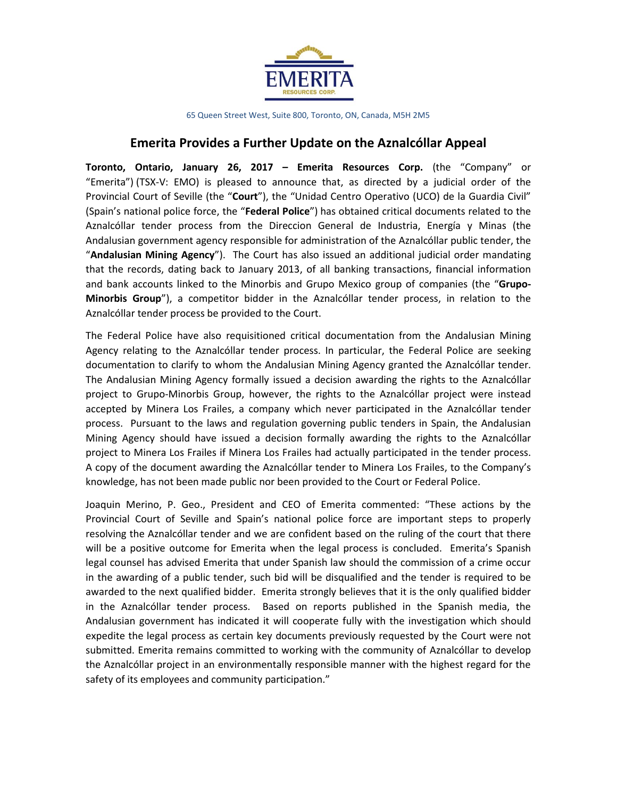

65 Queen Street West, Suite 800, Toronto, ON, Canada, M5H 2M5

## **Emerita Provides a Further Update on the Aznalcóllar Appeal**

**Toronto, Ontario, January 26, 2017 – Emerita Resources Corp.** (the "Company" or "Emerita") (TSX-V: EMO) is pleased to announce that, as directed by a judicial order of the Provincial Court of Seville (the "**Court**"), the "Unidad Centro Operativo (UCO) de la Guardia Civil" (Spain's national police force, the "**Federal Police**") has obtained critical documents related to the Aznalcóllar tender process from the Direccion General de Industria, Energía y Minas (the Andalusian government agency responsible for administration of the Aznalcóllar public tender, the "**Andalusian Mining Agency**"). The Court has also issued an additional judicial order mandating that the records, dating back to January 2013, of all banking transactions, financial information and bank accounts linked to the Minorbis and Grupo Mexico group of companies (the "**Grupo-Minorbis Group**"), a competitor bidder in the Aznalcóllar tender process, in relation to the Aznalcóllar tender process be provided to the Court.

The Federal Police have also requisitioned critical documentation from the Andalusian Mining Agency relating to the Aznalcóllar tender process. In particular, the Federal Police are seeking documentation to clarify to whom the Andalusian Mining Agency granted the Aznalcóllar tender. The Andalusian Mining Agency formally issued a decision awarding the rights to the Aznalcóllar project to Grupo-Minorbis Group, however, the rights to the Aznalcóllar project were instead accepted by Minera Los Frailes, a company which never participated in the Aznalcóllar tender process. Pursuant to the laws and regulation governing public tenders in Spain, the Andalusian Mining Agency should have issued a decision formally awarding the rights to the Aznalcóllar project to Minera Los Frailes if Minera Los Frailes had actually participated in the tender process. A copy of the document awarding the Aznalcóllar tender to Minera Los Frailes, to the Company's knowledge, has not been made public nor been provided to the Court or Federal Police.

Joaquin Merino, P. Geo., President and CEO of Emerita commented: "These actions by the Provincial Court of Seville and Spain's national police force are important steps to properly resolving the Aznalcóllar tender and we are confident based on the ruling of the court that there will be a positive outcome for Emerita when the legal process is concluded. Emerita's Spanish legal counsel has advised Emerita that under Spanish law should the commission of a crime occur in the awarding of a public tender, such bid will be disqualified and the tender is required to be awarded to the next qualified bidder. Emerita strongly believes that it is the only qualified bidder in the Aznalcóllar tender process. Based on reports published in the Spanish media, the Andalusian government has indicated it will cooperate fully with the investigation which should expedite the legal process as certain key documents previously requested by the Court were not submitted. Emerita remains committed to working with the community of Aznalcóllar to develop the Aznalcóllar project in an environmentally responsible manner with the highest regard for the safety of its employees and community participation."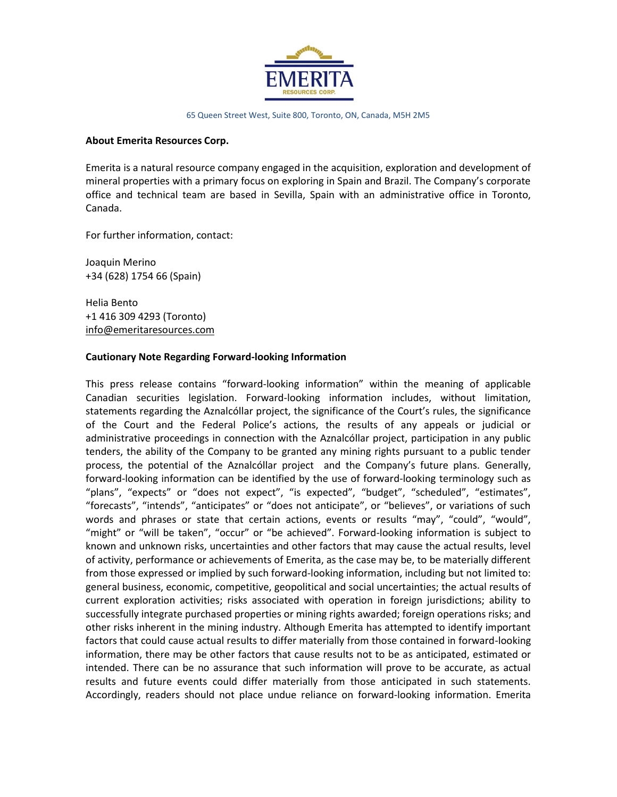

65 Queen Street West, Suite 800, Toronto, ON, Canada, M5H 2M5

## **About Emerita Resources Corp.**

Emerita is a natural resource company engaged in the acquisition, exploration and development of mineral properties with a primary focus on exploring in Spain and Brazil. The Company's corporate office and technical team are based in Sevilla, Spain with an administrative office in Toronto, Canada.

For further information, contact:

Joaquin Merino +34 (628) 1754 66 (Spain)

Helia Bento +1 416 309 4293 (Toronto) [info@emeritaresources.com](mailto:info@emeritaresources.com)

## **Cautionary Note Regarding Forward-looking Information**

This press release contains "forward-looking information" within the meaning of applicable Canadian securities legislation. Forward-looking information includes, without limitation, statements regarding the Aznalcóllar project, the significance of the Court's rules, the significance of the Court and the Federal Police's actions, the results of any appeals or judicial or administrative proceedings in connection with the Aznalcóllar project, participation in any public tenders, the ability of the Company to be granted any mining rights pursuant to a public tender process, the potential of the Aznalcóllar project and the Company's future plans. Generally, forward-looking information can be identified by the use of forward-looking terminology such as "plans", "expects" or "does not expect", "is expected", "budget", "scheduled", "estimates", "forecasts", "intends", "anticipates" or "does not anticipate", or "believes", or variations of such words and phrases or state that certain actions, events or results "may", "could", "would", "might" or "will be taken", "occur" or "be achieved". Forward-looking information is subject to known and unknown risks, uncertainties and other factors that may cause the actual results, level of activity, performance or achievements of Emerita, as the case may be, to be materially different from those expressed or implied by such forward-looking information, including but not limited to: general business, economic, competitive, geopolitical and social uncertainties; the actual results of current exploration activities; risks associated with operation in foreign jurisdictions; ability to successfully integrate purchased properties or mining rights awarded; foreign operations risks; and other risks inherent in the mining industry. Although Emerita has attempted to identify important factors that could cause actual results to differ materially from those contained in forward-looking information, there may be other factors that cause results not to be as anticipated, estimated or intended. There can be no assurance that such information will prove to be accurate, as actual results and future events could differ materially from those anticipated in such statements. Accordingly, readers should not place undue reliance on forward-looking information. Emerita